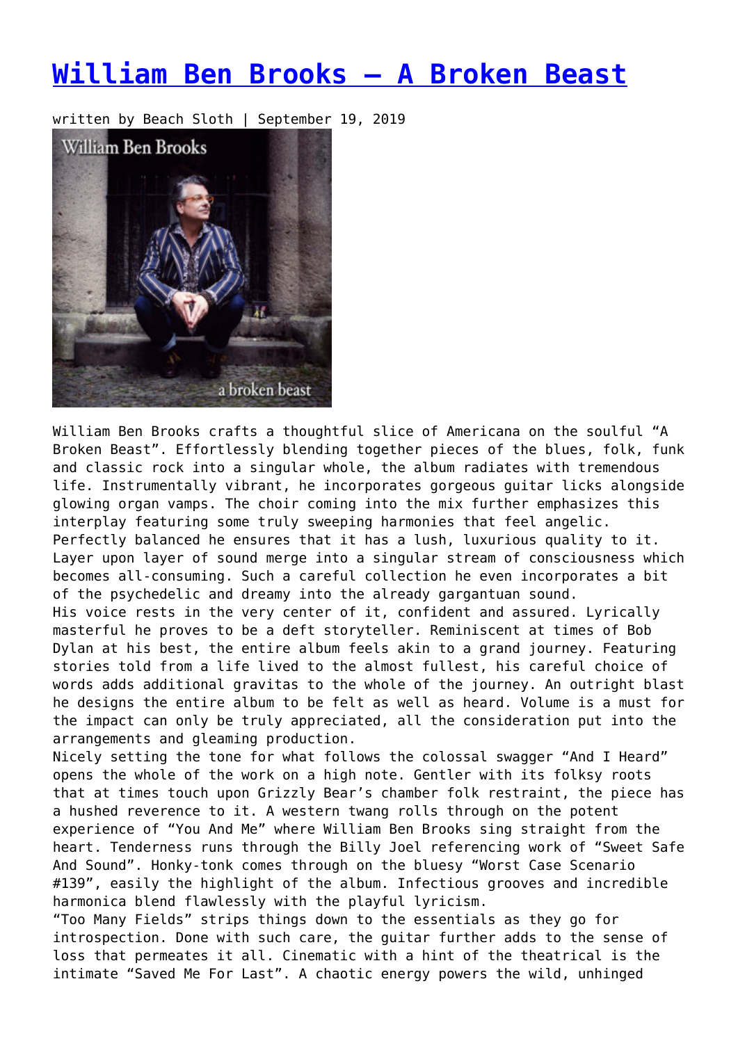## **[William Ben Brooks – A Broken Beast](https://entropymag.org/william-ben-brooks-a-broken-beast/)**

written by Beach Sloth | September 19, 2019



William Ben Brooks crafts a thoughtful slice of Americana on the soulful "A Broken Beast". Effortlessly blending together pieces of the blues, folk, funk and classic rock into a singular whole, the album radiates with tremendous life. Instrumentally vibrant, he incorporates gorgeous guitar licks alongside glowing organ vamps. The choir coming into the mix further emphasizes this interplay featuring some truly sweeping harmonies that feel angelic. Perfectly balanced he ensures that it has a lush, luxurious quality to it. Layer upon layer of sound merge into a singular stream of consciousness which becomes all-consuming. Such a careful collection he even incorporates a bit of the psychedelic and dreamy into the already gargantuan sound. His voice rests in the very center of it, confident and assured. Lyrically masterful he proves to be a deft storyteller. Reminiscent at times of Bob Dylan at his best, the entire album feels akin to a grand journey. Featuring stories told from a life lived to the almost fullest, his careful choice of words adds additional gravitas to the whole of the journey. An outright blast he designs the entire album to be felt as well as heard. Volume is a must for the impact can only be truly appreciated, all the consideration put into the arrangements and gleaming production.

Nicely setting the tone for what follows the colossal swagger "And I Heard" opens the whole of the work on a high note. Gentler with its folksy roots that at times touch upon Grizzly Bear's chamber folk restraint, the piece has a hushed reverence to it. A western twang rolls through on the potent experience of "You And Me" where William Ben Brooks sing straight from the heart. Tenderness runs through the Billy Joel referencing work of "Sweet Safe And Sound". Honky-tonk comes through on the bluesy "Worst Case Scenario #139", easily the highlight of the album. Infectious grooves and incredible harmonica blend flawlessly with the playful lyricism.

"Too Many Fields" strips things down to the essentials as they go for introspection. Done with such care, the guitar further adds to the sense of loss that permeates it all. Cinematic with a hint of the theatrical is the intimate "Saved Me For Last". A chaotic energy powers the wild, unhinged